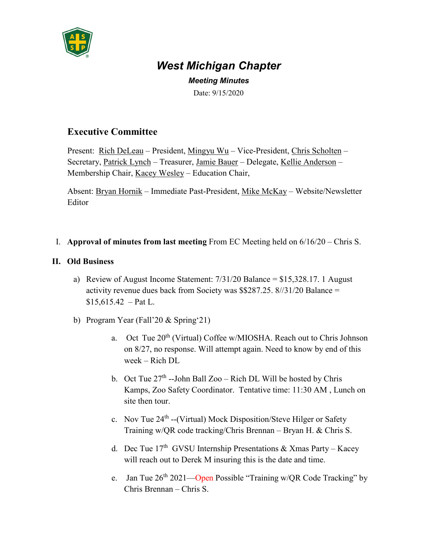

## *West Michigan Chapter*

*Meeting Minutes* Date: 9/15/2020

## **Executive Committee**

Present: Rich DeLeau – President, Mingyu Wu – Vice-President, Chris Scholten – Secretary, Patrick Lynch – Treasurer, Jamie Bauer – Delegate, Kellie Anderson – Membership Chair, Kacey Wesley - Education Chair,

Absent: Bryan Hornik – Immediate Past-President, Mike McKay – Website/Newsletter **Editor** 

I. **Approval of minutes from last meeting** From EC Meeting held on 6/16/20 – Chris S.

## **II. Old Business**

- a) Review of August Income Statement: 7/31/20 Balance = \$15,328.17. 1 August activity revenue dues back from Society was \$\$287.25. 8//31/20 Balance =  $$15,615.42$  – Pat L.
- b) Program Year (Fall'20 & Spring'21)
	- a. Oct Tue 20<sup>th</sup> (Virtual) Coffee w/MIOSHA. Reach out to Chris Johnson on 8/27, no response. Will attempt again. Need to know by end of this week – Rich DL
	- b. Oct Tue  $27<sup>th</sup>$  --John Ball Zoo Rich DL Will be hosted by Chris Kamps, Zoo Safety Coordinator. Tentative time: 11:30 AM , Lunch on site then tour.
	- c. Nov Tue  $24<sup>th</sup>$  --(Virtual) Mock Disposition/Steve Hilger or Safety Training w/QR code tracking/Chris Brennan – Bryan H. & Chris S.
	- d. Dec Tue  $17<sup>th</sup>$  GVSU Internship Presentations & Xmas Party Kacey will reach out to Derek M insuring this is the date and time.
	- e. Jan Tue  $26<sup>th</sup> 2021$ —Open Possible "Training w/QR Code Tracking" by Chris Brennan – Chris S.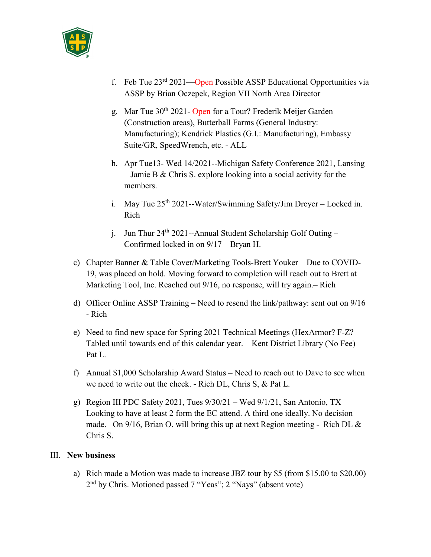

- f. Feb Tue  $23<sup>rd</sup> 2021$ —Open Possible ASSP Educational Opportunities via ASSP by Brian Oczepek, Region VII North Area Director
- g. Mar Tue 30<sup>th</sup> 2021- Open for a Tour? Frederik Meijer Garden (Construction areas), Butterball Farms (General Industry: Manufacturing); Kendrick Plastics (G.I.: Manufacturing), Embassy Suite/GR, SpeedWrench, etc. - ALL
- h. Apr Tue13- Wed 14/2021--Michigan Safety Conference 2021, Lansing – Jamie B & Chris S. explore looking into a social activity for the members.
- i. May Tue 25<sup>th</sup> 2021--Water/Swimming Safety/Jim Dreyer Locked in. Rich
- j. Jun Thur  $24^{th}$  2021--Annual Student Scholarship Golf Outing Confirmed locked in on 9/17 – Bryan H.
- c) Chapter Banner & Table Cover/Marketing Tools-Brett Youker Due to COVID-19, was placed on hold. Moving forward to completion will reach out to Brett at Marketing Tool, Inc. Reached out 9/16, no response, will try again.– Rich
- d) Officer Online ASSP Training Need to resend the link/pathway: sent out on 9/16 - Rich
- e) Need to find new space for Spring 2021 Technical Meetings (HexArmor? F-Z? Tabled until towards end of this calendar year. – Kent District Library (No Fee) – Pat L.
- f) Annual \$1,000 Scholarship Award Status Need to reach out to Dave to see when we need to write out the check. - Rich DL, Chris S, & Pat L.
- g) Region III PDC Safety 2021, Tues 9/30/21 Wed 9/1/21, San Antonio, TX Looking to have at least 2 form the EC attend. A third one ideally. No decision made.– On  $9/16$ , Brian O. will bring this up at next Region meeting - Rich DL & Chris S.

## III. **New business**

a) Rich made a Motion was made to increase JBZ tour by \$5 (from \$15.00 to \$20.00) 2nd by Chris. Motioned passed 7 "Yeas"; 2 "Nays" (absent vote)